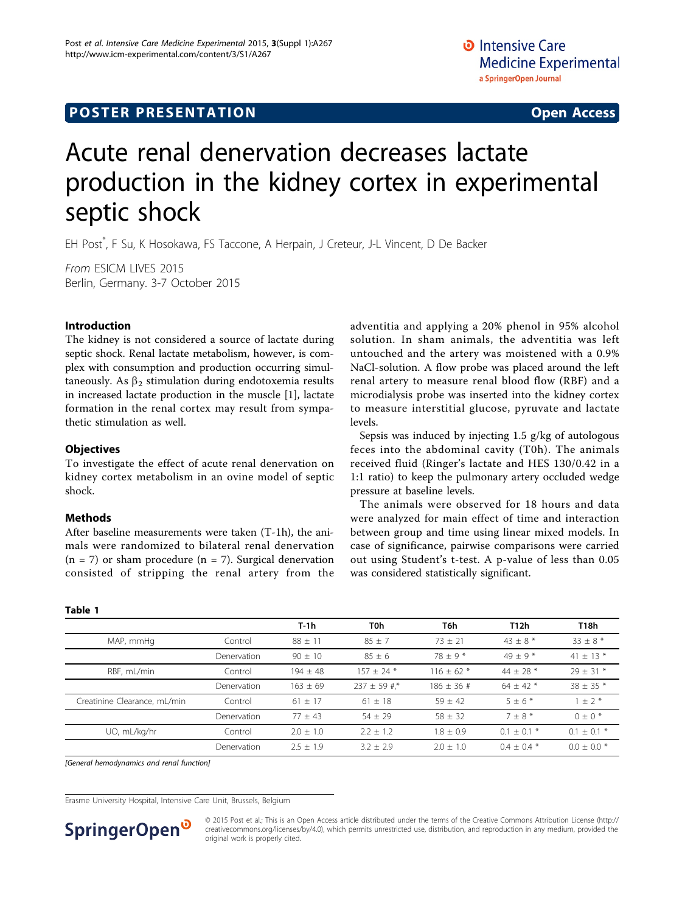# <span id="page-0-0"></span>**POSTER PRESENTATION CONSUMING THE SERVICE SERVICE SERVICES**

# Acute renal denervation decreases lactate production in the kidney cortex in experimental septic shock

EH Post\* , F Su, K Hosokawa, FS Taccone, A Herpain, J Creteur, J-L Vincent, D De Backer

From ESICM LIVES 2015 Berlin, Germany. 3-7 October 2015

# Introduction

The kidney is not considered a source of lactate during septic shock. Renal lactate metabolism, however, is complex with consumption and production occurring simultaneously. As  $\beta_2$  stimulation during endotoxemia results in increased lactate production in the muscle [[1](#page-1-0)], lactate formation in the renal cortex may result from sympathetic stimulation as well.

# **Objectives**

To investigate the effect of acute renal denervation on kidney cortex metabolism in an ovine model of septic shock.

### **Methods**

Table 1

After baseline measurements were taken (T-1h), the animals were randomized to bilateral renal denervation  $(n = 7)$  or sham procedure  $(n = 7)$ . Surgical denervation consisted of stripping the renal artery from the adventitia and applying a 20% phenol in 95% alcohol solution. In sham animals, the adventitia was left untouched and the artery was moistened with a 0.9% NaCl-solution. A flow probe was placed around the left renal artery to measure renal blood flow (RBF) and a microdialysis probe was inserted into the kidney cortex to measure interstitial glucose, pyruvate and lactate levels.

Sepsis was induced by injecting 1.5 g/kg of autologous feces into the abdominal cavity (T0h). The animals received fluid (Ringer's lactate and HES 130/0.42 in a 1:1 ratio) to keep the pulmonary artery occluded wedge pressure at baseline levels.

The animals were observed for 18 hours and data were analyzed for main effect of time and interaction between group and time using linear mixed models. In case of significance, pairwise comparisons were carried out using Student's t-test. A p-value of less than 0.05 was considered statistically significant.

|                              |             | $T-1h$      | T0h              | T6h            | T12h          | T18h            |
|------------------------------|-------------|-------------|------------------|----------------|---------------|-----------------|
| MAP, mmHq                    | Control     | $88 + 11$   | $85 + 7$         | $73 + 21$      | $43 + 8*$     | $33 + 8*$       |
|                              | Denervation | $90 + 10$   | $85 + 6$         | $78 + 9*$      | $49 + 9*$     | 41 $\pm$ 13 $*$ |
| RBF, mL/min                  | Control     | $194 + 48$  | $157 + 24*$      | $116 + 62$ *   | $44 + 28$ *   | $29 + 31*$      |
|                              | Denervation | $163 + 69$  | $237 \pm 59$ #,* | $186 \pm 36$ # | $64 + 42$ *   | $38 \pm 35$ *   |
| Creatinine Clearance, mL/min | Control     | $61 + 17$   | $61 \pm 18$      | $59 + 42$      | $5+6*$        | $1 \pm 2$ *     |
|                              | Denervation | $77 + 43$   | $54 + 29$        | $58 + 32$      | $7 + 8 *$     | $0 + 0*$        |
| UO, mL/kg/hr                 | Control     | $2.0 + 1.0$ | $2.2 + 1.2$      | $1.8 + 0.9$    | $0.1 + 0.1$ * | $0.1 + 0.1 *$   |
|                              | Denervation | $2.5 + 1.9$ | $3.2 + 2.9$      | $2.0 + 1.0$    | $0.4 + 0.4 *$ | $0.0 + 0.0 *$   |

[General hemodynamics and renal function]

Erasme University Hospital, Intensive Care Unit, Brussels, Belgium



© 2015 Post et al.; This is an Open Access article distributed under the terms of the Creative Commons Attribution License ([http://](http://creativecommons.org/licenses/by/4.0) [creativecommons.org/licenses/by/4.0](http://creativecommons.org/licenses/by/4.0)), which permits unrestricted use, distribution, and reproduction in any medium, provided the original work is properly cited.